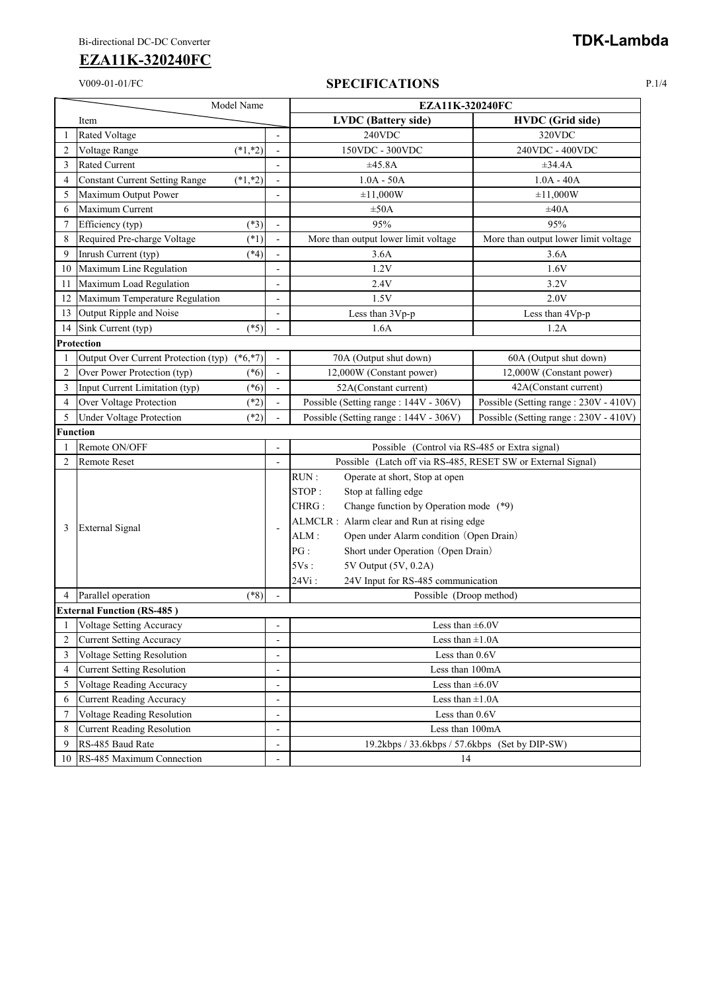## V009-01-01/FC **SPECIFICATIONS** P.1/4

| Model Name     |                                                                   |                          | EZA11K-320240FC                                              |                                       |  |  |  |
|----------------|-------------------------------------------------------------------|--------------------------|--------------------------------------------------------------|---------------------------------------|--|--|--|
|                | Item                                                              |                          | <b>LVDC</b> (Battery side)                                   | <b>HVDC</b> (Grid side)               |  |  |  |
|                | <b>Rated Voltage</b>                                              |                          | 240VDC                                                       | 320VDC                                |  |  |  |
| $\overline{2}$ | $(*1, *2)$<br>Voltage Range                                       |                          | 150VDC - 300VDC                                              | 240VDC - 400VDC                       |  |  |  |
| 3              | Rated Current                                                     |                          | ±45.8A                                                       | $\pm 34.4A$                           |  |  |  |
| 4              | <b>Constant Current Setting Range</b><br>$(*1, *2)$               |                          | $1.0A - 50A$                                                 | $1.0A - 40A$                          |  |  |  |
| 5              | Maximum Output Power                                              |                          | ±11,000W                                                     | ±11,000W                              |  |  |  |
| 6              | Maximum Current                                                   |                          | $\pm 50A$                                                    | ±40A                                  |  |  |  |
| 7              | $(*3)$<br>Efficiency (typ)                                        |                          | 95%                                                          | 95%                                   |  |  |  |
| 8              | Required Pre-charge Voltage<br>$(*1)$                             |                          | More than output lower limit voltage                         | More than output lower limit voltage  |  |  |  |
| 9              | Inrush Current (typ)<br>$(*4)$                                    |                          | 3.6A                                                         | 3.6A                                  |  |  |  |
| 10             | Maximum Line Regulation                                           |                          | 1.2V                                                         | 1.6V                                  |  |  |  |
| 11             | Maximum Load Regulation                                           | $\overline{\phantom{a}}$ | 2.4V                                                         | 3.2V                                  |  |  |  |
| 12             | Maximum Temperature Regulation                                    | ä,                       | 1.5V                                                         | 2.0V                                  |  |  |  |
| 13             | Output Ripple and Noise                                           | ٠                        | Less than 3Vp-p                                              | Less than 4Vp-p                       |  |  |  |
| 14             | $(*5)$<br>Sink Current (typ)                                      |                          | 1.6A                                                         | 1.2A                                  |  |  |  |
|                | Protection                                                        |                          |                                                              |                                       |  |  |  |
| 1              | Output Over Current Protection (typ) (*6,*7)                      |                          | 70A (Output shut down)                                       | 60A (Output shut down)                |  |  |  |
| 2              | Over Power Protection (typ)<br>$(*6)$                             | $\overline{a}$           | 12,000W (Constant power)                                     | 12,000W (Constant power)              |  |  |  |
| 3              | Input Current Limitation (typ)<br>$(*6)$                          |                          | 52A(Constant current)                                        | 42A(Constant current)                 |  |  |  |
| 4              | Over Voltage Protection<br>$(*2)$                                 |                          | Possible (Setting range: 144V - 306V)                        | Possible (Setting range: 230V - 410V) |  |  |  |
| 5              | <b>Under Voltage Protection</b><br>$(*2)$                         |                          | Possible (Setting range: 144V - 306V)                        | Possible (Setting range: 230V - 410V) |  |  |  |
|                | <b>Function</b>                                                   |                          |                                                              |                                       |  |  |  |
|                | Remote ON/OFF                                                     |                          | Possible (Control via RS-485 or Extra signal)                |                                       |  |  |  |
| $\overline{2}$ | <b>Remote Reset</b>                                               |                          | Possible (Latch off via RS-485, RESET SW or External Signal) |                                       |  |  |  |
|                | <b>External Signal</b>                                            |                          | RUN:<br>Operate at short, Stop at open                       |                                       |  |  |  |
|                |                                                                   |                          | STOP:<br>Stop at falling edge                                |                                       |  |  |  |
|                |                                                                   |                          | CHRG:<br>Change function by Operation mode (*9)              |                                       |  |  |  |
| 3              |                                                                   | Ĭ.                       | ALMCLR : Alarm clear and Run at rising edge                  |                                       |  |  |  |
|                |                                                                   |                          | Open under Alarm condition (Open Drain)<br>ALM:              |                                       |  |  |  |
|                |                                                                   |                          | PG:<br>Short under Operation (Open Drain)                    |                                       |  |  |  |
|                |                                                                   |                          | 5V Output (5V, 0.2A)<br>5Vs:                                 |                                       |  |  |  |
|                |                                                                   |                          | 24Vi:<br>24V Input for RS-485 communication                  |                                       |  |  |  |
| 4              | $(*8)$<br>Parallel operation                                      |                          | Possible (Droop method)                                      |                                       |  |  |  |
|                | <b>External Function (RS-485)</b>                                 |                          |                                                              |                                       |  |  |  |
|                | Voltage Setting Accuracy                                          |                          | Less than $\pm 6.0V$                                         |                                       |  |  |  |
| 2              | <b>Current Setting Accuracy</b>                                   |                          | Less than $\pm 1.0$ A                                        |                                       |  |  |  |
| 3              | Voltage Setting Resolution<br>$\overline{a}$                      |                          | Less than 0.6V                                               |                                       |  |  |  |
| 4              | <b>Current Setting Resolution</b>                                 | Less than 100mA          |                                                              |                                       |  |  |  |
| 5              | Voltage Reading Accuracy                                          | Less than $\pm 6.0V$     |                                                              |                                       |  |  |  |
| 6              | <b>Current Reading Accuracy</b>                                   | Less than $\pm 1.0$ A    |                                                              |                                       |  |  |  |
| 7              | Voltage Reading Resolution<br>$\overline{\phantom{0}}$            |                          | Less than 0.6V                                               |                                       |  |  |  |
| 8              | <b>Current Reading Resolution</b><br>$\qquad \qquad \blacksquare$ |                          | Less than 100mA                                              |                                       |  |  |  |
| 9              | RS-485 Baud Rate                                                  | $\overline{\phantom{a}}$ | 19.2kbps / 33.6kbps / 57.6kbps (Set by DIP-SW)               |                                       |  |  |  |
| 10             | RS-485 Maximum Connection                                         |                          | 14                                                           |                                       |  |  |  |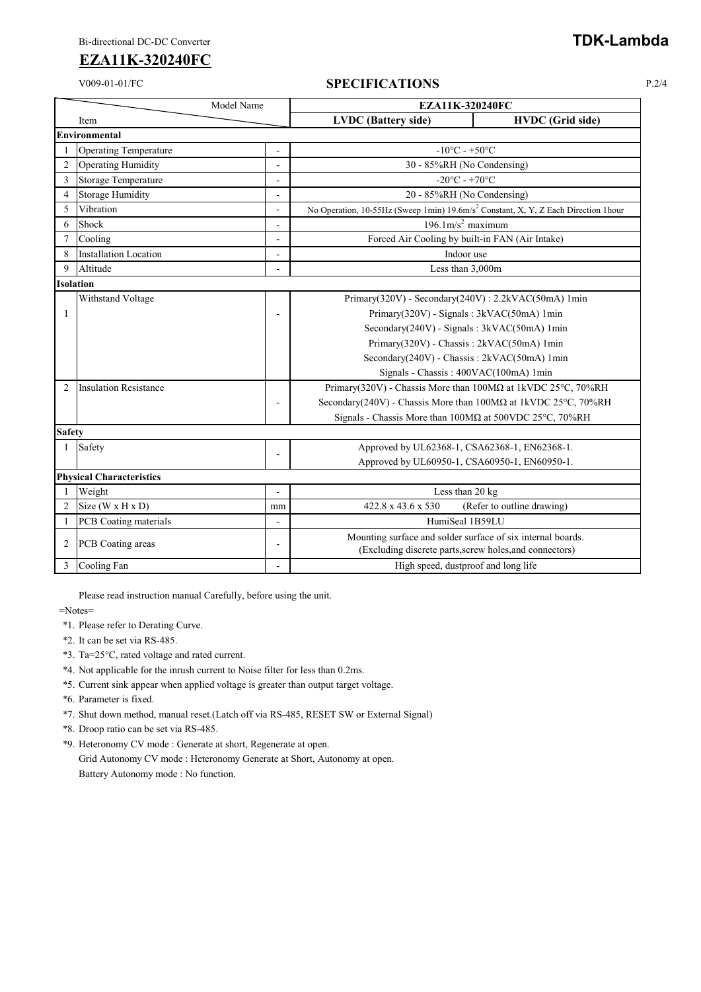#### V009-01-01/FC **SPECIFICATIONS** P.2/4

| Model Name     |                                 | <b>EZA11K-320240FC</b> |                                                                                                                        |                            |  |  |  |
|----------------|---------------------------------|------------------------|------------------------------------------------------------------------------------------------------------------------|----------------------------|--|--|--|
|                | Item                            |                        | <b>LVDC</b> (Battery side)                                                                                             | <b>HVDC</b> (Grid side)    |  |  |  |
|                | <b>Environmental</b>            |                        |                                                                                                                        |                            |  |  |  |
| $\mathbf{1}$   | <b>Operating Temperature</b>    | ÷,                     | $-10^{\circ}$ C - $+50^{\circ}$ C                                                                                      |                            |  |  |  |
| $\overline{2}$ | <b>Operating Humidity</b>       | ٠                      | 30 - 85%RH (No Condensing)                                                                                             |                            |  |  |  |
| 3              | Storage Temperature             | ÷,                     | -20°C - +70°C                                                                                                          |                            |  |  |  |
| $\overline{4}$ | Storage Humidity                | $\overline{a}$         | 20 - 85%RH (No Condensing)                                                                                             |                            |  |  |  |
| 5              | Vibration                       | $\blacksquare$         | No Operation, 10-55Hz (Sweep 1min) 19.6m/s <sup>2</sup> Constant, X, Y, Z Each Direction 1hour                         |                            |  |  |  |
| 6              | Shock                           |                        | $196.1 \text{m/s}^2$ maximum                                                                                           |                            |  |  |  |
| $\overline{7}$ | Cooling                         | $\blacksquare$         | Forced Air Cooling by built-in FAN (Air Intake)                                                                        |                            |  |  |  |
| 8              | <b>Installation Location</b>    |                        | Indoor use                                                                                                             |                            |  |  |  |
| 9              | Altitude                        |                        | Less than 3,000m                                                                                                       |                            |  |  |  |
|                | Isolation                       |                        |                                                                                                                        |                            |  |  |  |
|                | Withstand Voltage               |                        | Primary(320V) - Secondary(240V) : 2.2kVAC(50mA) 1min                                                                   |                            |  |  |  |
| 1              |                                 | $\blacksquare$         | Primary(320V) - Signals: 3kVAC(50mA) 1min                                                                              |                            |  |  |  |
|                |                                 |                        | Secondary(240V) - Signals: 3kVAC(50mA) 1min                                                                            |                            |  |  |  |
|                |                                 |                        | Primary(320V) - Chassis: 2kVAC(50mA) 1min                                                                              |                            |  |  |  |
|                |                                 |                        | Secondary(240V) - Chassis: 2kVAC(50mA) 1min                                                                            |                            |  |  |  |
|                |                                 |                        | Signals - Chassis: 400VAC(100mA) 1min                                                                                  |                            |  |  |  |
| 2              | <b>Insulation Resistance</b>    |                        | Primary(320V) - Chassis More than 100ΜΩ at 1kVDC 25°C, 70%RH                                                           |                            |  |  |  |
|                |                                 | ٠                      | Secondary(240V) - Chassis More than 100MΩ at 1kVDC 25°C, 70%RH                                                         |                            |  |  |  |
|                |                                 |                        | Signals - Chassis More than 100MΩ at 500VDC 25°C, 70%RH                                                                |                            |  |  |  |
| <b>Safety</b>  |                                 |                        |                                                                                                                        |                            |  |  |  |
| 1              | Safety                          | $\blacksquare$         | Approved by UL62368-1, CSA62368-1, EN62368-1.                                                                          |                            |  |  |  |
|                |                                 |                        | Approved by UL60950-1, CSA60950-1, EN60950-1.                                                                          |                            |  |  |  |
|                | <b>Physical Characteristics</b> |                        |                                                                                                                        |                            |  |  |  |
|                | Weight                          |                        | Less than 20 kg                                                                                                        |                            |  |  |  |
| 2              | Size $(W \times H \times D)$    | mm                     | 422.8 x 43.6 x 530                                                                                                     | (Refer to outline drawing) |  |  |  |
|                | PCB Coating materials           |                        | HumiSeal 1B59LU                                                                                                        |                            |  |  |  |
| 2              | PCB Coating areas               | $\overline{a}$         | Mounting surface and solder surface of six internal boards.<br>(Excluding discrete parts, screw holes, and connectors) |                            |  |  |  |
| 3              | Cooling Fan                     |                        | High speed, dustproof and long life                                                                                    |                            |  |  |  |

Please read instruction manual Carefully, before using the unit.

=Notes=

- \*1. Please refer to Derating Curve.
- \*2. It can be set via RS-485.
- \*3. Ta=25°C, rated voltage and rated current.
- \*4. Not applicable for the inrush current to Noise filter for less than 0.2ms.
- \*5. Current sink appear when applied voltage is greater than output target voltage.
- \*6. Parameter is fixed.
- \*7. Shut down method, manual reset.(Latch off via RS-485, RESET SW or External Signal)
- \*8. Droop ratio can be set via RS-485.
- \*9. Heteronomy CV mode : Generate at short, Regenerate at open.
	- Grid Autonomy CV mode : Heteronomy Generate at Short, Autonomy at open. Battery Autonomy mode : No function.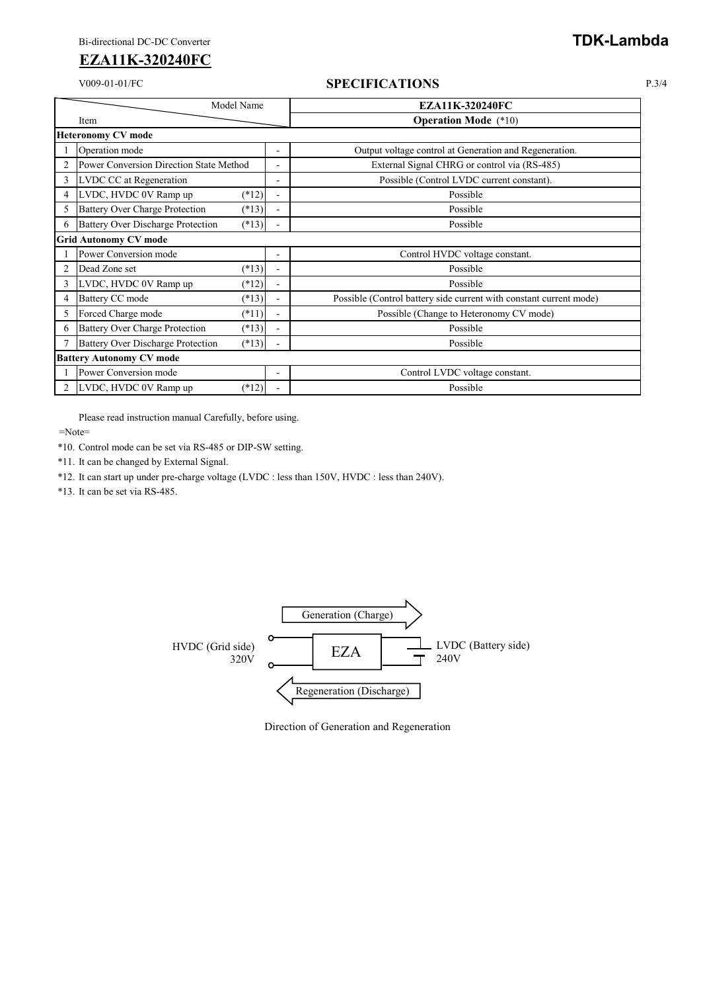#### V009-01-01/FC **SPECIFICATIONS** P.3/4

|                              | Model Name                               |         |                          | <b>EZA11K-320240FC</b>                                             |  |  |  |  |
|------------------------------|------------------------------------------|---------|--------------------------|--------------------------------------------------------------------|--|--|--|--|
|                              | Item                                     |         |                          | <b>Operation Mode</b> (*10)                                        |  |  |  |  |
|                              | <b>Heteronomy CV mode</b>                |         |                          |                                                                    |  |  |  |  |
|                              | Operation mode                           |         | ۰                        | Output voltage control at Generation and Regeneration.             |  |  |  |  |
| $\overline{2}$               | Power Conversion Direction State Method  |         | ٠                        | External Signal CHRG or control via (RS-485)                       |  |  |  |  |
| 3                            | LVDC CC at Regeneration                  |         | ۰                        | Possible (Control LVDC current constant).                          |  |  |  |  |
| 4                            | LVDC, HVDC 0V Ramp up                    | $(*12)$ | $\blacksquare$           | Possible                                                           |  |  |  |  |
| 5                            | <b>Battery Over Charge Protection</b>    | $(*13)$ |                          | Possible                                                           |  |  |  |  |
| 6                            | <b>Battery Over Discharge Protection</b> | $(*13)$ |                          | Possible                                                           |  |  |  |  |
| <b>Grid Autonomy CV mode</b> |                                          |         |                          |                                                                    |  |  |  |  |
|                              | Power Conversion mode                    |         |                          | Control HVDC voltage constant.                                     |  |  |  |  |
| $\overline{2}$               | Dead Zone set                            | $(*13)$ |                          | Possible                                                           |  |  |  |  |
| 3                            | LVDC, HVDC 0V Ramp up                    | $(*12)$ |                          | Possible                                                           |  |  |  |  |
| 4                            | Battery CC mode                          | $(*13)$ |                          | Possible (Control battery side current with constant current mode) |  |  |  |  |
| 5                            | Forced Charge mode                       | $(*11)$ |                          | Possible (Change to Heteronomy CV mode)                            |  |  |  |  |
| 6                            | <b>Battery Over Charge Protection</b>    | $(*13)$ |                          | Possible                                                           |  |  |  |  |
|                              | <b>Battery Over Discharge Protection</b> | $(*13)$ |                          | Possible                                                           |  |  |  |  |
|                              | <b>Battery Autonomy CV mode</b>          |         |                          |                                                                    |  |  |  |  |
|                              | Power Conversion mode                    |         | $\overline{\phantom{a}}$ | Control LVDC voltage constant.                                     |  |  |  |  |
| $\overline{2}$               | LVDC, HVDC 0V Ramp up                    | $(*12)$ |                          | Possible                                                           |  |  |  |  |

Please read instruction manual Carefully, before using.

=Note=

\*10. Control mode can be set via RS-485 or DIP-SW setting.

\*11. It can be changed by External Signal.

\*12. It can start up under pre-charge voltage (LVDC : less than 150V, HVDC : less than 240V).

\*13. It can be set via RS-485.



Direction of Generation and Regeneration